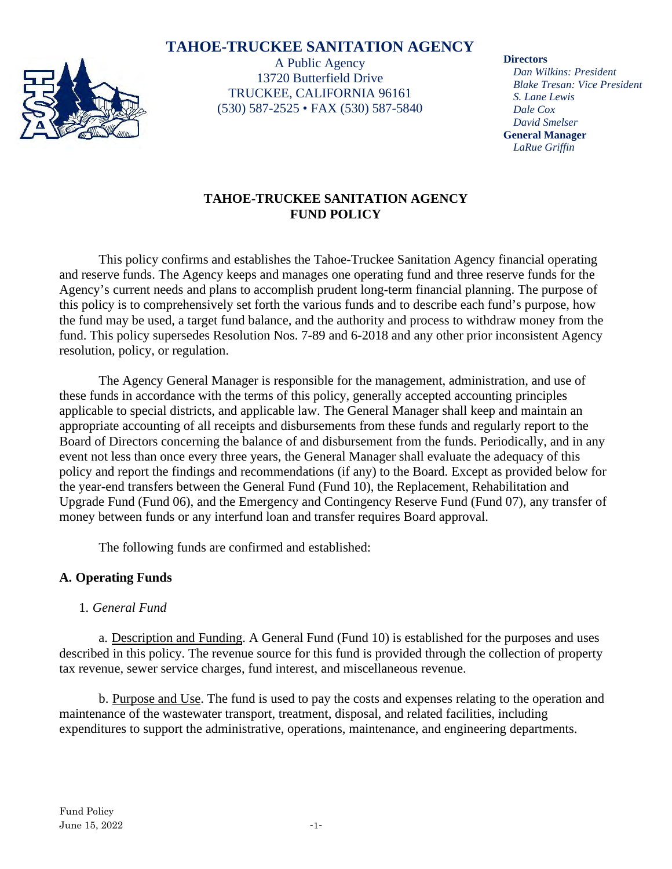# **TAHOE-TRUCKEE SANITATION AGENCY**



A Public Agency 13720 Butterfield Drive TRUCKEE, CALIFORNIA 96161 (530) 587-2525 • FAX (530) 587-5840

#### **Directors**

*Dan Wilkins: President Blake Tresan: Vice President S. Lane Lewis Dale Cox David Smelser* **General Manager** *LaRue Griffin*

## **TAHOE-TRUCKEE SANITATION AGENCY FUND POLICY**

This policy confirms and establishes the Tahoe-Truckee Sanitation Agency financial operating and reserve funds. The Agency keeps and manages one operating fund and three reserve funds for the Agency's current needs and plans to accomplish prudent long-term financial planning. The purpose of this policy is to comprehensively set forth the various funds and to describe each fund's purpose, how the fund may be used, a target fund balance, and the authority and process to withdraw money from the fund. This policy supersedes Resolution Nos. 7-89 and 6-2018 and any other prior inconsistent Agency resolution, policy, or regulation.

The Agency General Manager is responsible for the management, administration, and use of these funds in accordance with the terms of this policy, generally accepted accounting principles applicable to special districts, and applicable law. The General Manager shall keep and maintain an appropriate accounting of all receipts and disbursements from these funds and regularly report to the Board of Directors concerning the balance of and disbursement from the funds. Periodically, and in any event not less than once every three years, the General Manager shall evaluate the adequacy of this policy and report the findings and recommendations (if any) to the Board. Except as provided below for the year-end transfers between the General Fund (Fund 10), the Replacement, Rehabilitation and Upgrade Fund (Fund 06), and the Emergency and Contingency Reserve Fund (Fund 07), any transfer of money between funds or any interfund loan and transfer requires Board approval.

The following funds are confirmed and established:

### **A. Operating Funds**

### 1. *General Fund*

a. Description and Funding. A General Fund (Fund 10) is established for the purposes and uses described in this policy. The revenue source for this fund is provided through the collection of property tax revenue, sewer service charges, fund interest, and miscellaneous revenue.

b. Purpose and Use. The fund is used to pay the costs and expenses relating to the operation and maintenance of the wastewater transport, treatment, disposal, and related facilities, including expenditures to support the administrative, operations, maintenance, and engineering departments.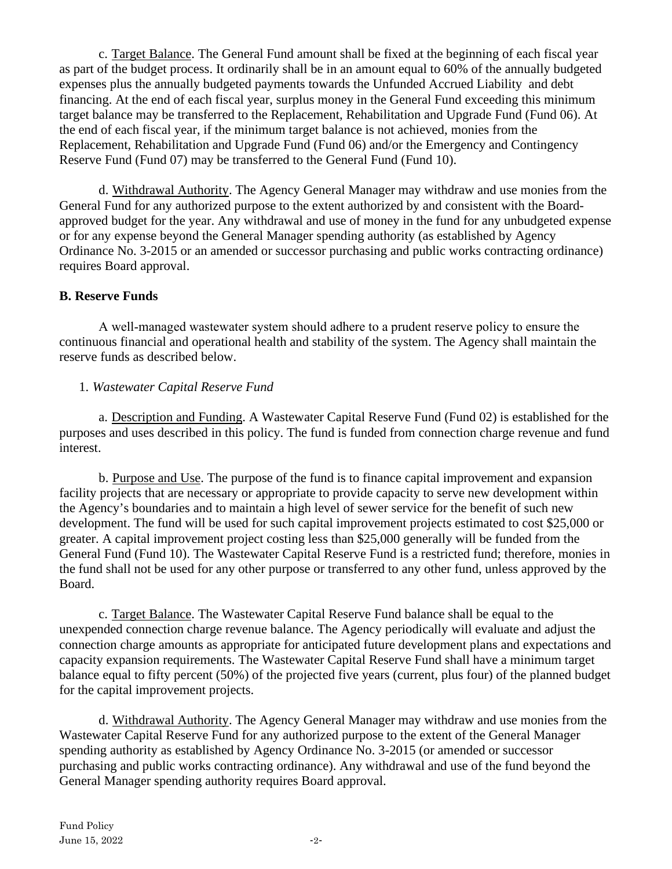c. Target Balance. The General Fund amount shall be fixed at the beginning of each fiscal year as part of the budget process. It ordinarily shall be in an amount equal to 60% of the annually budgeted expenses plus the annually budgeted payments towards the Unfunded Accrued Liability and debt financing. At the end of each fiscal year, surplus money in the General Fund exceeding this minimum target balance may be transferred to the Replacement, Rehabilitation and Upgrade Fund (Fund 06). At the end of each fiscal year, if the minimum target balance is not achieved, monies from the Replacement, Rehabilitation and Upgrade Fund (Fund 06) and/or the Emergency and Contingency Reserve Fund (Fund 07) may be transferred to the General Fund (Fund 10).

d. Withdrawal Authority. The Agency General Manager may withdraw and use monies from the General Fund for any authorized purpose to the extent authorized by and consistent with the Boardapproved budget for the year. Any withdrawal and use of money in the fund for any unbudgeted expense or for any expense beyond the General Manager spending authority (as established by Agency Ordinance No. 3-2015 or an amended or successor purchasing and public works contracting ordinance) requires Board approval.

### **B. Reserve Funds**

A well‐managed wastewater system should adhere to a prudent reserve policy to ensure the continuous financial and operational health and stability of the system. The Agency shall maintain the reserve funds as described below.

#### 1. *Wastewater Capital Reserve Fund*

a. Description and Funding. A Wastewater Capital Reserve Fund (Fund 02) is established for the purposes and uses described in this policy. The fund is funded from connection charge revenue and fund interest.

b. Purpose and Use. The purpose of the fund is to finance capital improvement and expansion facility projects that are necessary or appropriate to provide capacity to serve new development within the Agency's boundaries and to maintain a high level of sewer service for the benefit of such new development. The fund will be used for such capital improvement projects estimated to cost \$25,000 or greater. A capital improvement project costing less than \$25,000 generally will be funded from the General Fund (Fund 10). The Wastewater Capital Reserve Fund is a restricted fund; therefore, monies in the fund shall not be used for any other purpose or transferred to any other fund, unless approved by the Board.

c. Target Balance. The Wastewater Capital Reserve Fund balance shall be equal to the unexpended connection charge revenue balance. The Agency periodically will evaluate and adjust the connection charge amounts as appropriate for anticipated future development plans and expectations and capacity expansion requirements. The Wastewater Capital Reserve Fund shall have a minimum target balance equal to fifty percent (50%) of the projected five years (current, plus four) of the planned budget for the capital improvement projects.

d. Withdrawal Authority. The Agency General Manager may withdraw and use monies from the Wastewater Capital Reserve Fund for any authorized purpose to the extent of the General Manager spending authority as established by Agency Ordinance No. 3-2015 (or amended or successor purchasing and public works contracting ordinance). Any withdrawal and use of the fund beyond the General Manager spending authority requires Board approval.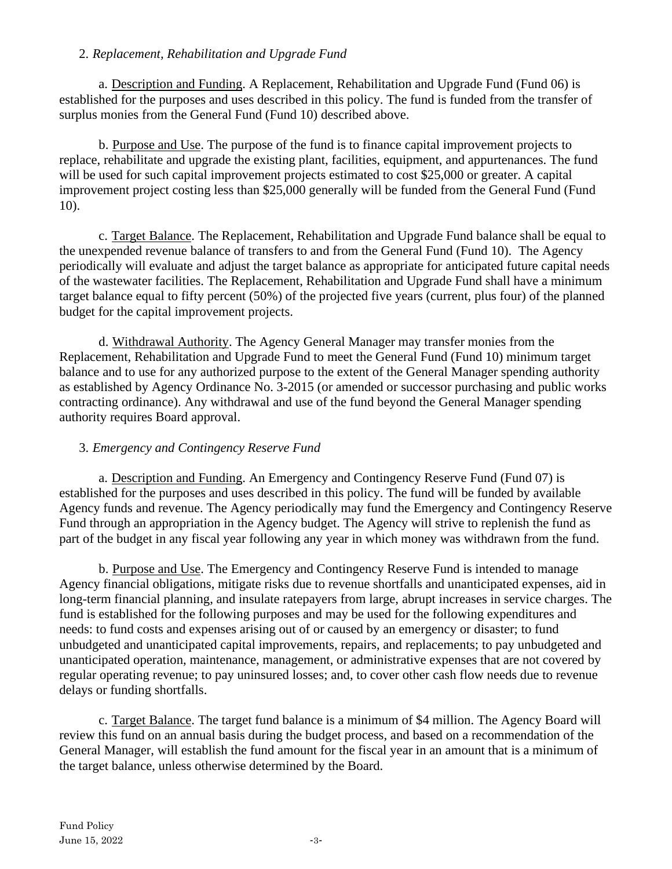### 2. *Replacement, Rehabilitation and Upgrade Fund*

a. Description and Funding. A Replacement, Rehabilitation and Upgrade Fund (Fund 06) is established for the purposes and uses described in this policy. The fund is funded from the transfer of surplus monies from the General Fund (Fund 10) described above.

b. Purpose and Use. The purpose of the fund is to finance capital improvement projects to replace, rehabilitate and upgrade the existing plant, facilities, equipment, and appurtenances. The fund will be used for such capital improvement projects estimated to cost \$25,000 or greater. A capital improvement project costing less than \$25,000 generally will be funded from the General Fund (Fund 10).

c. Target Balance. The Replacement, Rehabilitation and Upgrade Fund balance shall be equal to the unexpended revenue balance of transfers to and from the General Fund (Fund 10). The Agency periodically will evaluate and adjust the target balance as appropriate for anticipated future capital needs of the wastewater facilities. The Replacement, Rehabilitation and Upgrade Fund shall have a minimum target balance equal to fifty percent (50%) of the projected five years (current, plus four) of the planned budget for the capital improvement projects.

d. Withdrawal Authority. The Agency General Manager may transfer monies from the Replacement, Rehabilitation and Upgrade Fund to meet the General Fund (Fund 10) minimum target balance and to use for any authorized purpose to the extent of the General Manager spending authority as established by Agency Ordinance No. 3-2015 (or amended or successor purchasing and public works contracting ordinance). Any withdrawal and use of the fund beyond the General Manager spending authority requires Board approval.

### 3. *Emergency and Contingency Reserve Fund*

a. Description and Funding. An Emergency and Contingency Reserve Fund (Fund 07) is established for the purposes and uses described in this policy. The fund will be funded by available Agency funds and revenue. The Agency periodically may fund the Emergency and Contingency Reserve Fund through an appropriation in the Agency budget. The Agency will strive to replenish the fund as part of the budget in any fiscal year following any year in which money was withdrawn from the fund.

b. Purpose and Use. The Emergency and Contingency Reserve Fund is intended to manage Agency financial obligations, mitigate risks due to revenue shortfalls and unanticipated expenses, aid in long-term financial planning, and insulate ratepayers from large, abrupt increases in service charges. The fund is established for the following purposes and may be used for the following expenditures and needs: to fund costs and expenses arising out of or caused by an emergency or disaster; to fund unbudgeted and unanticipated capital improvements, repairs, and replacements; to pay unbudgeted and unanticipated operation, maintenance, management, or administrative expenses that are not covered by regular operating revenue; to pay uninsured losses; and, to cover other cash flow needs due to revenue delays or funding shortfalls.

c. Target Balance. The target fund balance is a minimum of \$4 million. The Agency Board will review this fund on an annual basis during the budget process, and based on a recommendation of the General Manager, will establish the fund amount for the fiscal year in an amount that is a minimum of the target balance, unless otherwise determined by the Board.